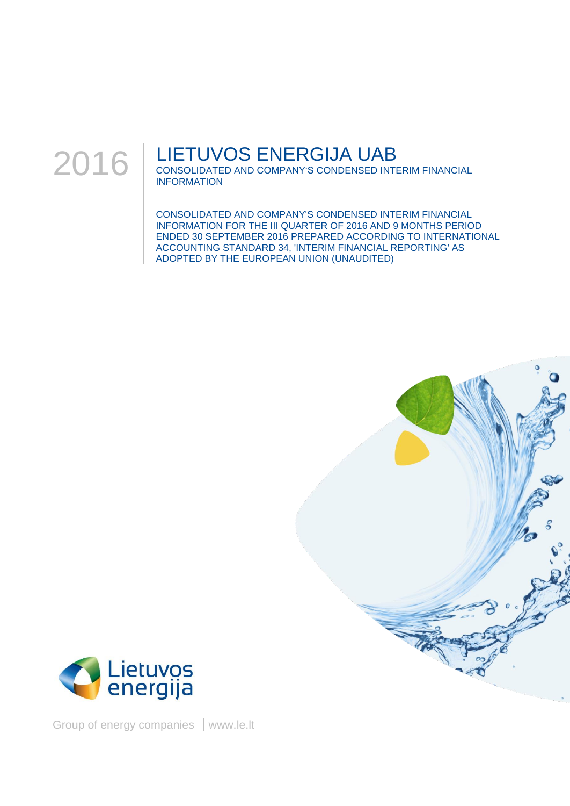

## LIETUVOS ENERGIJA UAB

CONSOLIDATED AND COMPANY'S CONDENSED INTERIM FINANCIAL INFORMATION

CONSOLIDATED AND COMPANY'S CONDENSED INTERIM FINANCIAL INFORMATION FOR THE III QUARTER OF 2016 AND 9 MONTHS PERIOD ENDED 30 SEPTEMBER 2016 PREPARED ACCORDING TO INTERNATIONAL ACCOUNTING STANDARD 34, 'INTERIM FINANCIAL REPORTING' AS ADOPTED BY THE EUROPEAN UNION (UNAUDITED)





Group of energy companies | www.le.lt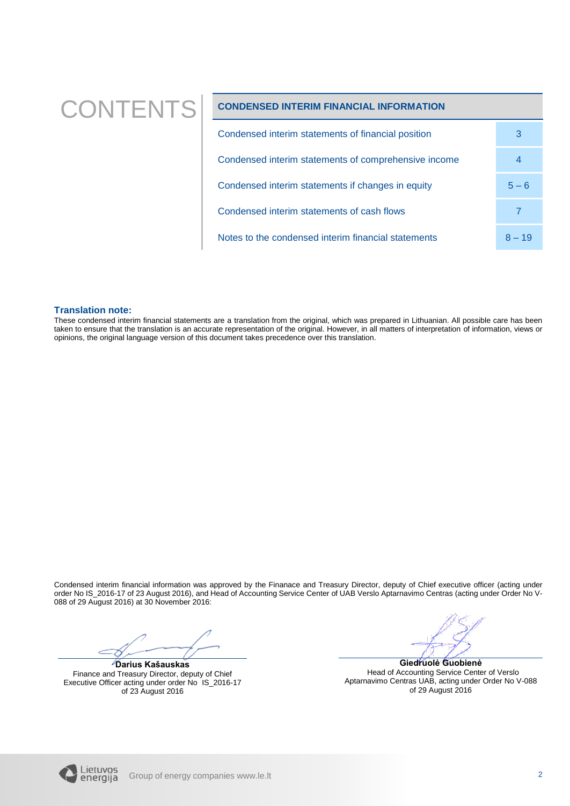# CONTENTS **CONDENSED INTERIM FINANCIAL INFORMATION**

| Condensed interim statements of financial position   | 3        |
|------------------------------------------------------|----------|
| Condensed interim statements of comprehensive income | 4        |
| Condensed interim statements if changes in equity    | $5 - 6$  |
| Condensed interim statements of cash flows           |          |
| Notes to the condensed interim financial statements  | $8 - 19$ |

### **Translation note:**

These condensed interim financial statements are a translation from the original, which was prepared in Lithuanian. All possible care has been taken to ensure that the translation is an accurate representation of the original. However, in all matters of interpretation of information, views or opinions, the original language version of this document takes precedence over this translation.

Condensed interim financial information was approved by the Finanace and Treasury Director, deputy of Chief executive officer (acting under order No IS\_2016-17 of 23 August 2016), and Head of Accounting Service Center of UAB Verslo Aptarnavimo Centras (acting under Order No V-088 of 29 August 2016) at 30 November 2016:

**Darius Kašauskas** Finance and Treasury Director, deputy of Chief Executive Officer acting under order No IS\_2016-17 of 23 August 2016

**Giedruolė Guobienė** Head of Accounting Service Center of Verslo Aptarnavimo Centras UAB, acting under Order No V-088 of 29 August 2016

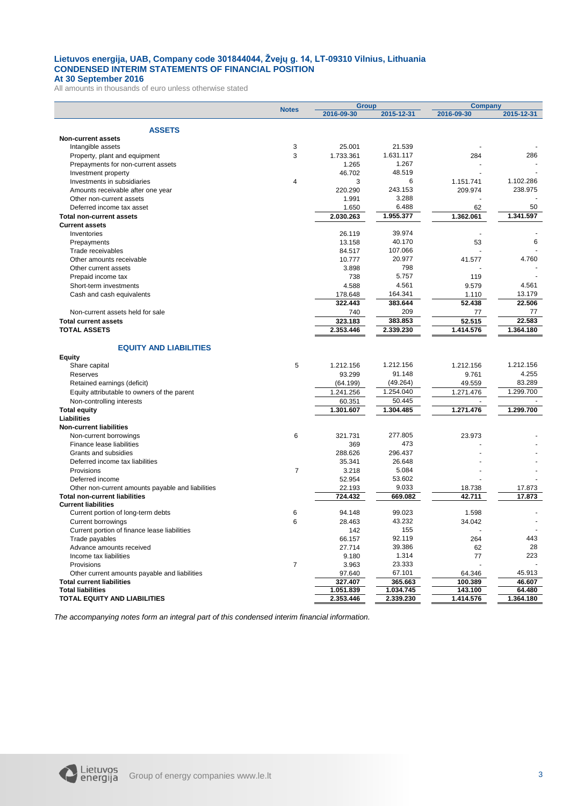#### **Lietuvos energija, UAB, Company code 301844044, Žvejų g. 14, LT-09310 Vilnius, Lithuania CONDENSED INTERIM STATEMENTS OF FINANCIAL POSITION At 30 September 2016**

All amounts in thousands of euro unless otherwise stated

<span id="page-2-0"></span>

|                                                   |                | <b>Group</b> |            | <b>Company</b> |            |
|---------------------------------------------------|----------------|--------------|------------|----------------|------------|
|                                                   | <b>Notes</b>   | 2016-09-30   | 2015-12-31 | 2016-09-30     | 2015-12-31 |
|                                                   |                |              |            |                |            |
| <b>ASSETS</b>                                     |                |              |            |                |            |
| <b>Non-current assets</b>                         |                |              |            |                |            |
| Intangible assets                                 | 3              | 25.001       | 21.539     |                |            |
| Property, plant and equipment                     | 3              | 1.733.361    | 1.631.117  | 284            | 286        |
| Prepayments for non-current assets                |                | 1.265        | 1.267      |                |            |
| Investment property                               |                | 46.702       | 48.519     |                |            |
| Investments in subsidiaries                       | $\overline{4}$ | 3            | 6          | 1.151.741      | 1.102.286  |
| Amounts receivable after one year                 |                | 220.290      | 243.153    | 209.974        | 238.975    |
| Other non-current assets                          |                | 1.991        | 3.288      |                |            |
| Deferred income tax asset                         |                | 1.650        | 6.488      | 62             | 50         |
| <b>Total non-current assets</b>                   |                | 2.030.263    | 1.955.377  | 1.362.061      | 1.341.597  |
| <b>Current assets</b>                             |                |              |            |                |            |
| Inventories                                       |                | 26.119       | 39.974     |                |            |
| Prepayments                                       |                | 13.158       | 40.170     | 53             | 6          |
| Trade receivables                                 |                | 84.517       | 107.066    |                |            |
| Other amounts receivable                          |                | 10.777       | 20.977     | 41.577         | 4.760      |
| Other current assets                              |                | 3.898        | 798        |                |            |
| Prepaid income tax                                |                | 738          | 5.757      | 119            |            |
| Short-term investments                            |                | 4.588        | 4.561      | 9.579          | 4.561      |
| Cash and cash equivalents                         |                | 178.648      | 164.341    | 1.110          | 13.179     |
|                                                   |                | 322.443      | 383.644    | 52.438         | 22.506     |
| Non-current assets held for sale                  |                | 740          | 209        | 77             | 77         |
| <b>Total current assets</b>                       |                | 323.183      | 383.853    | 52.515         | 22.583     |
|                                                   |                |              | 2.339.230  |                |            |
| <b>TOTAL ASSETS</b>                               |                | 2.353.446    |            | 1.414.576      | 1.364.180  |
|                                                   |                |              |            |                |            |
| <b>EQUITY AND LIABILITIES</b>                     |                |              |            |                |            |
| <b>Equity</b>                                     |                |              |            |                |            |
| Share capital                                     | 5              | 1.212.156    | 1.212.156  | 1.212.156      | 1.212.156  |
| Reserves                                          |                | 93.299       | 91.148     | 9.761          | 4.255      |
| Retained earnings (deficit)                       |                | (64.199)     | (49.264)   | 49.559         | 83.289     |
| Equity attributable to owners of the parent       |                | 1.241.256    | 1.254.040  | 1.271.476      | 1.299.700  |
| Non-controlling interests                         |                | 60.351       | 50.445     | $\sim$         |            |
| <b>Total equity</b>                               |                | 1.301.607    | 1.304.485  | 1.271.476      | 1.299.700  |
| Liabilities                                       |                |              |            |                |            |
| <b>Non-current liabilities</b>                    |                |              |            |                |            |
| Non-current borrowings                            | 6              | 321.731      | 277.805    | 23.973         |            |
| Finance lease liabilities                         |                | 369          | 473        |                |            |
| Grants and subsidies                              |                | 288.626      | 296.437    |                |            |
| Deferred income tax liabilities                   |                | 35.341       | 26.648     |                |            |
| Provisions                                        | $\overline{7}$ | 3.218        | 5.084      |                |            |
| Deferred income                                   |                | 52.954       | 53.602     |                |            |
| Other non-current amounts payable and liabilities |                | 22.193       | 9.033      | 18.738         | 17.873     |
| <b>Total non-current liabilities</b>              |                | 724.432      | 669.082    | 42.711         | 17.873     |
| <b>Current liabilities</b>                        |                |              |            |                |            |
| Current portion of long-term debts                | 6              | 94.148       | 99.023     | 1.598          |            |
| <b>Current borrowings</b>                         | 6              | 28.463       | 43.232     | 34.042         |            |
| Current portion of finance lease liabilities      |                | 142          | 155        |                |            |
| Trade payables                                    |                | 66.157       | 92.119     | 264            | 443        |
| Advance amounts received                          |                | 27.714       | 39.386     | 62             | 28         |
| Income tax liabilities                            |                | 9.180        | 1.314      |                | 223        |
|                                                   |                |              |            | 77             |            |
| Provisions                                        | $\overline{7}$ | 3.963        | 23.333     |                |            |
| Other current amounts payable and liabilities     |                | 97.640       | 67.101     | 64.346         | 45.913     |
| <b>Total current liabilities</b>                  |                | 327.407      | 365.663    | 100.389        | 46.607     |
| <b>Total liabilities</b>                          |                | 1.051.839    | 1.034.745  | 143.100        | 64.480     |
| TOTAL EQUITY AND LIABILITIES                      |                | 2.353.446    | 2.339.230  | 1.414.576      | 1.364.180  |

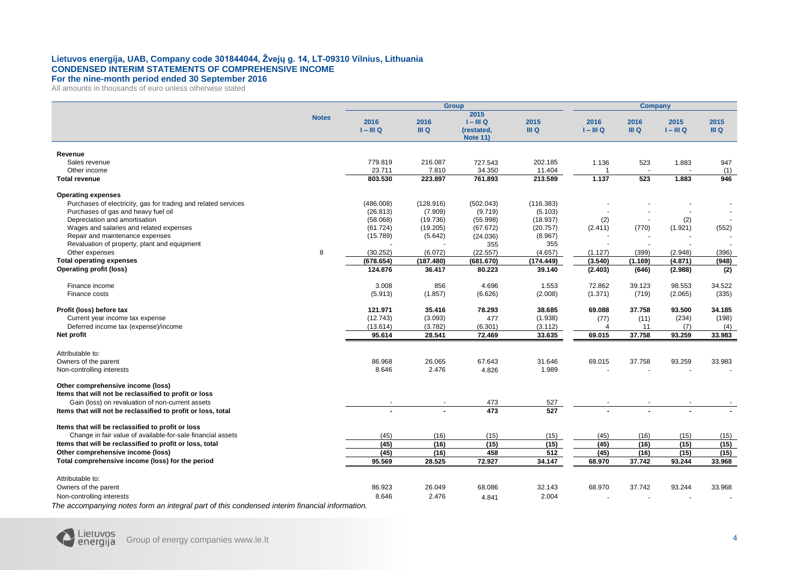#### **Lietuvos energija, UAB, Company code 301844044, Žvejų g. 14, LT-09310 Vilnius, Lithuania CONDENSED INTERIM STATEMENTS OF COMPREHENSIVE INCOME For the nine-month period ended 30 September 2016**

All amounts in thousands of euro unless otherwise stated

|                                                                                        |              | <b>Group</b>        |               |                                                      |               | <b>Company</b>      |               |                     |               |
|----------------------------------------------------------------------------------------|--------------|---------------------|---------------|------------------------------------------------------|---------------|---------------------|---------------|---------------------|---------------|
|                                                                                        | <b>Notes</b> | 2016<br>$I - III Q$ | 2016<br>III Q | 2015<br>$I - III Q$<br>(restated,<br><b>Note 11)</b> | 2015<br>III Q | 2016<br>$I - III Q$ | 2016<br>III Q | 2015<br>$I - III Q$ | 2015<br>III Q |
| Revenue                                                                                |              |                     |               |                                                      |               |                     |               |                     |               |
| Sales revenue                                                                          |              | 779.819             | 216.087       | 727.543                                              | 202.185       | 1.136               | 523           | 1.883               | 947           |
| Other income                                                                           |              | 23.711              | 7.810         | 34.350                                               | 11.404        |                     | $\sim$        |                     | (1)           |
| <b>Total revenue</b>                                                                   |              | 803.530             | 223.897       | 761.893                                              | 213.589       | 1.137               | 523           | 1.883               | 946           |
| <b>Operating expenses</b>                                                              |              |                     |               |                                                      |               |                     |               |                     |               |
| Purchases of electricity, gas for trading and related services                         |              | (486.008)           | (128.916)     | (502.043)                                            | (116.383)     |                     |               |                     |               |
| Purchases of gas and heavy fuel oil                                                    |              | (26.813)            | (7.909)       | (9.719)                                              | (5.103)       |                     |               |                     |               |
| Depreciation and amortisation                                                          |              | (58.068)            | (19.736)      | (55.998)                                             | (18.937)      | (2)                 |               | (2)                 |               |
| Wages and salaries and related expenses                                                |              | (61.724)            | (19.205)      | (67.672)                                             | (20.757)      | (2.411)             | (770)         | (1.921)             | (552)         |
| Repair and maintenance expenses                                                        |              | (15.789)            | (5.642)       | (24.036)                                             | (8.967)       |                     |               |                     |               |
| Revaluation of property, plant and equipment                                           |              |                     |               | 355                                                  | 355           |                     |               |                     |               |
| Other expenses                                                                         | 8            | (30.252)            | (6.072)       | (22.557)                                             | (4.657)       | (1.127)             | (399)         | (2.948)             | (396)         |
| <b>Total operating expenses</b>                                                        |              | (678.654)           | (187.480)     | (681.670)                                            | (174.449)     | (3.540)             | (1.169)       | (4.871)             | (948)         |
| <b>Operating profit (loss)</b>                                                         |              | 124.876             | 36.417        | 80.223                                               | 39.140        | (2.403)             | (646)         | (2.988)             | (2)           |
| Finance income                                                                         |              | 3.008               | 856           | 4.696                                                | 1.553         | 72.862              | 39.123        | 98.553              | 34.522        |
| Finance costs                                                                          |              | (5.913)             | (1.857)       | (6.626)                                              | (2.008)       | (1.371)             | (719)         | (2.065)             | (335)         |
| Profit (loss) before tax                                                               |              | 121.971             | 35.416        | 78.293                                               | 38.685        | 69.088              | 37.758        | 93.500              | 34.185        |
| Current year income tax expense                                                        |              | (12.743)            | (3.093)       | 477                                                  | (1.938)       | (77)                | (11)          | (234)               | (198)         |
| Deferred income tax (expense)/income                                                   |              | (13.614)            | (3.782)       | (6.301)                                              | (3.112)       | 4                   | 11            | (7)                 | (4)           |
| Net profit                                                                             |              | 95.614              | 28.541        | 72.469                                               | 33.635        | 69.015              | 37.758        | 93.259              | 33.983        |
| Attributable to:                                                                       |              |                     |               |                                                      |               |                     |               |                     |               |
| Owners of the parent                                                                   |              | 86.968              | 26.065        | 67.643                                               | 31.646        | 69.015              | 37.758        | 93.259              | 33.983        |
| Non-controlling interests                                                              |              | 8.646               | 2.476         | 4.826                                                | 1.989         |                     |               |                     |               |
| Other comprehensive income (loss)                                                      |              |                     |               |                                                      |               |                     |               |                     |               |
| Items that will not be reclassified to profit or loss                                  |              |                     |               |                                                      |               |                     |               |                     |               |
| Gain (loss) on revaluation of non-current assets                                       |              |                     |               | 473                                                  | 527           |                     |               |                     |               |
| Items that will not be reclassified to profit or loss, total                           |              |                     |               | 473                                                  | 527           |                     |               |                     |               |
| Items that will be reclassified to profit or loss                                      |              |                     |               |                                                      |               |                     |               |                     |               |
| Change in fair value of available-for-sale financial assets                            |              | (45)                | (16)          | (15)                                                 | (15)          | (45)                | (16)          | (15)                | (15)          |
| Items that will be reclassified to profit or loss, total                               |              | (45)                | (16)          | (15)                                                 | (15)          | (45)                | (16)          | (15)                | (15)          |
| Other comprehensive income (loss)                                                      |              | (45)                | (16)          | 458                                                  | 512           | (45)                | (16)          | (15)                | (15)          |
| Total comprehensive income (loss) for the period                                       |              | 95.569              | 28.525        | 72.927                                               | 34.147        | 68.970              | 37.742        | 93.244              | 33.968        |
| Attributable to:                                                                       |              |                     |               |                                                      |               |                     |               |                     |               |
| Owners of the parent                                                                   |              | 86.923              | 26.049        | 68.086                                               | 32.143        | 68.970              | 37.742        | 93.244              | 33.968        |
| Non-controlling interests                                                              |              | 8.646               | 2.476         | 4.841                                                | 2.004         |                     |               |                     |               |
| والمتائين ولمرابط المرمومات للمراد<br>والمناقب المستحدث المستماعين والمستحدث والمستحدث |              |                     |               |                                                      |               |                     |               |                     |               |

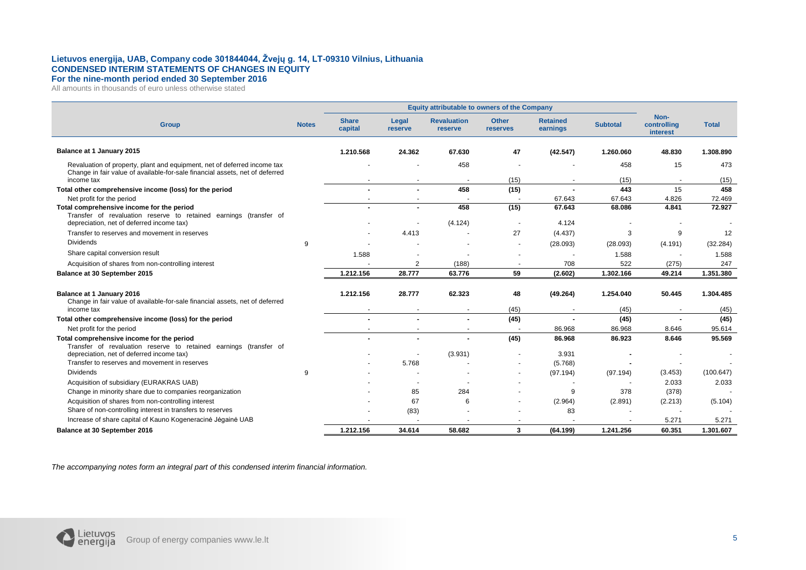#### **Lietuvos energija, UAB, Company code 301844044, Žvejų g. 14, LT-09310 Vilnius, Lithuania CONDENSED INTERIM STATEMENTS OF CHANGES IN EQUITY For the nine-month period ended 30 September 2016**

All amounts in thousands of euro unless otherwise stated

|                                                                                                                                                          | Equity attributable to owners of the Company |                          |                  |                               |                          |                             |                  |                                 |                  |
|----------------------------------------------------------------------------------------------------------------------------------------------------------|----------------------------------------------|--------------------------|------------------|-------------------------------|--------------------------|-----------------------------|------------------|---------------------------------|------------------|
| <b>Group</b>                                                                                                                                             | <b>Notes</b>                                 | <b>Share</b><br>capital  | Legal<br>reserve | <b>Revaluation</b><br>reserve | <b>Other</b><br>reserves | <b>Retained</b><br>earnings | <b>Subtotal</b>  | Non-<br>controlling<br>interest | <b>Total</b>     |
| Balance at 1 January 2015                                                                                                                                |                                              | 1.210.568                | 24.362           | 67.630                        | 47                       | (42.547)                    | 1.260.060        | 48.830                          | 1.308.890        |
| Revaluation of property, plant and equipment, net of deferred income tax<br>Change in fair value of available-for-sale financial assets, net of deferred |                                              |                          |                  | 458                           |                          |                             | 458              | 15                              | 473              |
| income tax                                                                                                                                               |                                              |                          |                  |                               | (15)                     |                             | (15)             |                                 | (15)             |
| Total other comprehensive income (loss) for the period                                                                                                   |                                              |                          |                  | 458                           | (15)                     |                             | 443              | 15                              | 458              |
| Net profit for the period                                                                                                                                |                                              |                          |                  | 458                           |                          | 67.643<br>67.643            | 67.643<br>68.086 | 4.826<br>4.841                  | 72.469<br>72.927 |
| Total comprehensive income for the period<br>Transfer of revaluation reserve to retained earnings (transfer of                                           |                                              |                          |                  |                               | (15)                     |                             |                  |                                 |                  |
| depreciation, net of deferred income tax)                                                                                                                |                                              |                          |                  | (4.124)                       |                          | 4.124                       |                  |                                 |                  |
| Transfer to reserves and movement in reserves                                                                                                            |                                              |                          | 4.413            |                               | 27                       | (4.437)                     | 3                | 9                               | 12               |
| <b>Dividends</b>                                                                                                                                         | 9                                            |                          |                  |                               | $\blacksquare$           | (28.093)                    | (28.093)         | (4.191)                         | (32.284)         |
| Share capital conversion result                                                                                                                          |                                              | 1.588                    |                  |                               |                          |                             | 1.588            |                                 | 1.588            |
| Acquisition of shares from non-controlling interest                                                                                                      |                                              |                          | 2                | (188)                         |                          | 708                         | 522              | (275)                           | 247              |
| Balance at 30 September 2015                                                                                                                             |                                              | 1.212.156                | 28.777           | 63.776                        | 59                       | (2.602)                     | 1.302.166        | 49.214                          | 1.351.380        |
|                                                                                                                                                          |                                              |                          |                  |                               |                          |                             |                  |                                 |                  |
| Balance at 1 January 2016<br>Change in fair value of available-for-sale financial assets, net of deferred                                                |                                              | 1.212.156                | 28.777           | 62.323                        | 48                       | (49.264)                    | 1.254.040        | 50.445                          | 1.304.485        |
| income tax                                                                                                                                               |                                              |                          |                  |                               | (45)                     | $\overline{\phantom{a}}$    | (45)             | $\overline{\phantom{a}}$        | (45)             |
| Total other comprehensive income (loss) for the period                                                                                                   |                                              | $\overline{\phantom{a}}$ |                  | $\blacksquare$                | (45)                     | $\overline{\phantom{a}}$    | (45)             | $\blacksquare$                  | (45)             |
| Net profit for the period                                                                                                                                |                                              |                          |                  |                               |                          | 86.968                      | 86.968           | 8.646                           | 95.614           |
| Total comprehensive income for the period                                                                                                                |                                              |                          |                  |                               | (45)                     | 86.968                      | 86.923           | 8.646                           | 95.569           |
| Transfer of revaluation reserve to retained earnings (transfer of                                                                                        |                                              |                          |                  |                               |                          |                             |                  |                                 |                  |
| depreciation, net of deferred income tax)<br>Transfer to reserves and movement in reserves                                                               |                                              |                          |                  | (3.931)                       |                          | 3.931                       |                  |                                 |                  |
| <b>Dividends</b>                                                                                                                                         | 9                                            |                          | 5.768            |                               |                          | (5.768)<br>(97.194)         | (97.194)         | (3.453)                         | (100.647)        |
|                                                                                                                                                          |                                              |                          |                  |                               |                          |                             |                  | 2.033                           | 2.033            |
| Acquisition of subsidiary (EURAKRAS UAB)<br>Change in minority share due to companies reorganization                                                     |                                              |                          | 85               | 284                           |                          | 9                           | 378              | (378)                           |                  |
| Acquisition of shares from non-controlling interest                                                                                                      |                                              |                          | 67               | 6                             |                          | (2.964)                     | (2.891)          | (2.213)                         | (5.104)          |
| Share of non-controlling interest in transfers to reserves                                                                                               |                                              |                          | (83)             |                               |                          | 83                          |                  |                                 |                  |
| Increase of share capital of Kauno Kogeneracinė Jėgainė UAB                                                                                              |                                              |                          |                  |                               |                          |                             |                  | 5.271                           | 5.271            |
| Balance at 30 September 2016                                                                                                                             |                                              | 1.212.156                | 34.614           | 58.682                        | 3                        | (64.199)                    | 1.241.256        | 60.351                          | 1.301.607        |
|                                                                                                                                                          |                                              |                          |                  |                               |                          |                             |                  |                                 |                  |

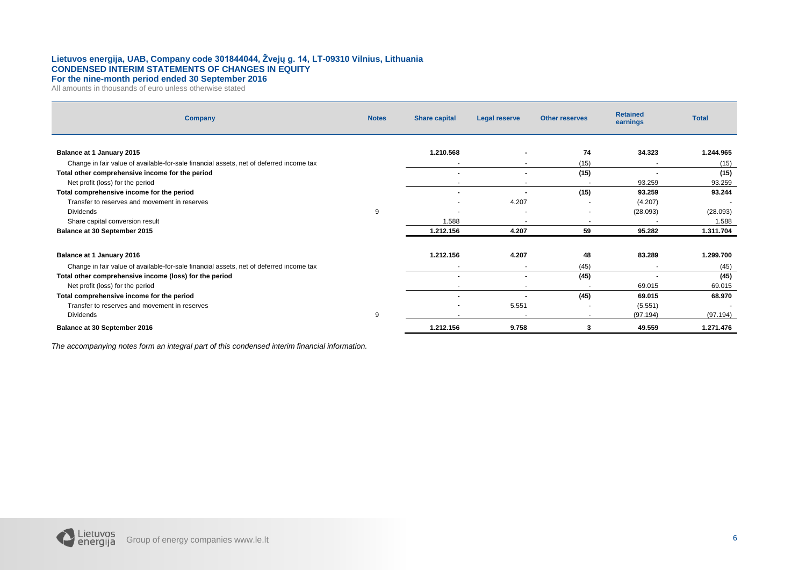#### **Lietuvos energija, UAB, Company code 301844044, Žvejų g. 14, LT-09310 Vilnius, Lithuania CONDENSED INTERIM STATEMENTS OF CHANGES IN EQUITY For the nine-month period ended 30 September 2016**

All amounts in thousands of euro unless otherwise stated

| <b>Company</b>                                                                          | <b>Notes</b> | <b>Share capital</b> | Legal reserve            | <b>Other reserves</b> | <b>Retained</b><br>earnings | <b>Total</b>             |
|-----------------------------------------------------------------------------------------|--------------|----------------------|--------------------------|-----------------------|-----------------------------|--------------------------|
| Balance at 1 January 2015                                                               |              | 1.210.568            |                          | 74                    | 34.323                      | 1.244.965                |
| Change in fair value of available-for-sale financial assets, net of deferred income tax |              |                      |                          | (15)                  | $\overline{\phantom{a}}$    | (15)                     |
| Total other comprehensive income for the period                                         |              | $\,$                 |                          | (15)                  |                             | (15)                     |
| Net profit (loss) for the period                                                        |              |                      |                          |                       | 93.259                      | 93.259                   |
| Total comprehensive income for the period                                               |              | ۰                    |                          | (15)                  | 93.259                      | 93.244                   |
| Transfer to reserves and movement in reserves                                           |              |                      | 4.207                    |                       | (4.207)                     | $\overline{\phantom{a}}$ |
| <b>Dividends</b>                                                                        | 9            |                      |                          |                       | (28.093)                    | (28.093)                 |
| Share capital conversion result                                                         |              | 1.588                | $\overline{\phantom{a}}$ | $\sim$                | $\overline{\phantom{a}}$    | 1.588                    |
| Balance at 30 September 2015                                                            |              | 1.212.156            | 4.207                    | 59                    | 95.282                      | 1.311.704                |
|                                                                                         |              |                      |                          |                       |                             |                          |
| Balance at 1 January 2016                                                               |              | 1.212.156            | 4.207                    | 48                    | 83.289                      | 1.299.700                |
| Change in fair value of available-for-sale financial assets, net of deferred income tax |              | $\overline{a}$       | $\overline{a}$           | (45)                  | $\overline{\phantom{a}}$    | (45)                     |
| Total other comprehensive income (loss) for the period                                  |              | $\blacksquare$       |                          | (45)                  | $\overline{\phantom{a}}$    | (45)                     |
| Net profit (loss) for the period                                                        |              |                      |                          |                       | 69.015                      | 69.015                   |
| Total comprehensive income for the period                                               |              | ٠                    |                          | (45)                  | 69.015                      | 68.970                   |
| Transfer to reserves and movement in reserves                                           |              | ۰                    | 5.551                    |                       | (5.551)                     | $\overline{\phantom{a}}$ |
| <b>Dividends</b>                                                                        | 9            |                      |                          |                       | (97.194)                    | (97.194)                 |
| Balance at 30 September 2016                                                            |              | 1.212.156            | 9.758                    | 3                     | 49.559                      | 1.271.476                |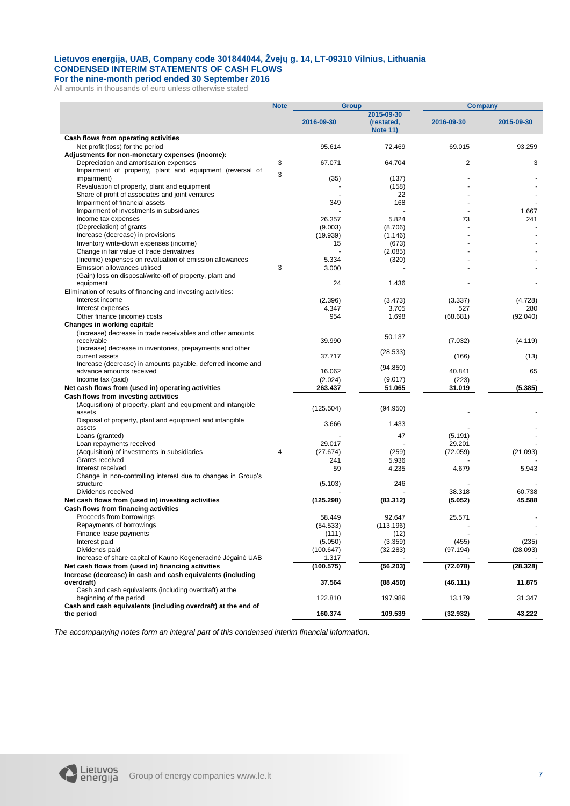#### **Lietuvos energija, UAB, Company code 301844044, Žvejų g. 14, LT-09310 Vilnius, Lithuania CONDENSED INTERIM STATEMENTS OF CASH FLOWS For the nine-month period ended 30 September 2016**

All amounts in thousands of euro unless otherwise stated

|                                                               | <b>Note</b> | <b>Group</b>       |                                             | <b>Company</b>  |                  |
|---------------------------------------------------------------|-------------|--------------------|---------------------------------------------|-----------------|------------------|
|                                                               |             | 2016-09-30         | 2015-09-30<br>(restated,<br><b>Note 11)</b> | 2016-09-30      | 2015-09-30       |
| Cash flows from operating activities                          |             |                    |                                             |                 |                  |
| Net profit (loss) for the period                              |             | 95.614             | 72.469                                      | 69.015          | 93.259           |
| Adjustments for non-monetary expenses (income):               |             |                    |                                             |                 |                  |
| Depreciation and amortisation expenses                        | 3           | 67.071             | 64.704                                      | 2               | 3                |
| Impairment of property, plant and equipment (reversal of      | 3           |                    |                                             |                 |                  |
| impairment)                                                   |             | (35)               | (137)                                       |                 |                  |
| Revaluation of property, plant and equipment                  |             |                    | (158)                                       |                 |                  |
| Share of profit of associates and joint ventures              |             |                    | 22                                          |                 |                  |
| Impairment of financial assets                                |             | 349                | 168                                         |                 |                  |
| Impairment of investments in subsidiaries                     |             |                    |                                             |                 | 1.667            |
| Income tax expenses<br>(Depreciation) of grants               |             | 26.357<br>(9.003)  | 5.824<br>(8.706)                            | 73              | 241              |
| Increase (decrease) in provisions                             |             | (19.939)           | (1.146)                                     |                 |                  |
| Inventory write-down expenses (income)                        |             | 15                 | (673)                                       |                 |                  |
| Change in fair value of trade derivatives                     |             |                    | (2.085)                                     |                 |                  |
| (Income) expenses on revaluation of emission allowances       |             | 5.334              | (320)                                       |                 |                  |
| Emission allowances utilised                                  | 3           | 3.000              |                                             |                 |                  |
| (Gain) loss on disposal/write-off of property, plant and      |             |                    |                                             |                 |                  |
| equipment                                                     |             | 24                 | 1.436                                       |                 |                  |
| Elimination of results of financing and investing activities: |             |                    |                                             |                 |                  |
| Interest income                                               |             | (2.396)            | (3.473)                                     | (3.337)         | (4.728)          |
| Interest expenses                                             |             | 4.347              | 3.705                                       | 527             | 280              |
| Other finance (income) costs                                  |             | 954                | 1.698                                       | (68.681)        | (92.040)         |
| Changes in working capital:                                   |             |                    |                                             |                 |                  |
| (Increase) decrease in trade receivables and other amounts    |             |                    | 50.137                                      |                 |                  |
| receivable                                                    |             | 39.990             |                                             | (7.032)         | (4.119)          |
| (Increase) decrease in inventories, prepayments and other     |             |                    | (28.533)                                    |                 |                  |
| current assets                                                |             | 37.717             |                                             | (166)           | (13)             |
| Increase (decrease) in amounts payable, deferred income and   |             |                    | (94.850)                                    |                 |                  |
| advance amounts received<br>Income tax (paid)                 |             | 16.062             |                                             | 40.841<br>(223) | 65               |
| Net cash flows from (used in) operating activities            |             | (2.024)<br>263.437 | (9.017)<br>51.065                           | 31.019          | (5.385)          |
| Cash flows from investing activities                          |             |                    |                                             |                 |                  |
| (Acquisition) of property, plant and equipment and intangible |             |                    |                                             |                 |                  |
| assets                                                        |             | (125.504)          | (94.950)                                    |                 |                  |
| Disposal of property, plant and equipment and intangible      |             |                    |                                             |                 |                  |
| assets                                                        |             | 3.666              | 1.433                                       |                 |                  |
| Loans (granted)                                               |             |                    | 47                                          | (5.191)         |                  |
| Loan repayments received                                      |             | 29.017             |                                             | 29.201          |                  |
| (Acquisition) of investments in subsidiaries                  | 4           | (27.674)           | (259)                                       | (72.059)        | (21.093)         |
| Grants received                                               |             | 241                | 5.936                                       |                 |                  |
| Interest received                                             |             | 59                 | 4.235                                       | 4.679           | 5.943            |
| Change in non-controlling interest due to changes in Group's  |             |                    |                                             |                 |                  |
| structure                                                     |             | (5.103)            | 246                                         |                 |                  |
| Dividends received                                            |             | (125.298)          |                                             | 38.318          | 60.738<br>45.588 |
| Net cash flows from (used in) investing activities            |             |                    | (83.312)                                    | (5.052)         |                  |
| Cash flows from financing activities                          |             |                    |                                             |                 |                  |
| Proceeds from borrowings<br>Repayments of borrowings          |             | 58.449             | 92.647<br>(113.196)                         | 25.571          |                  |
| Finance lease payments                                        |             | (54.533)<br>(111)  | (12)                                        |                 |                  |
| Interest paid                                                 |             | (5.050)            | (3.359)                                     | (455)           | (235)            |
| Dividends paid                                                |             | (100.647)          | (32.283)                                    | (97.194)        | (28.093)         |
| Increase of share capital of Kauno Kogeneracinė Jėgainė UAB   |             | 1.317              |                                             |                 |                  |
| Net cash flows from (used in) financing activities            |             | (100.575)          | (56.203)                                    | (72.078)        | (28.328)         |
| Increase (decrease) in cash and cash equivalents (including   |             |                    |                                             |                 |                  |
| overdraft)                                                    |             | 37.564             | (88.450)                                    | (46.111)        | 11.875           |
| Cash and cash equivalents (including overdraft) at the        |             |                    |                                             |                 |                  |
| beginning of the period                                       |             | 122.810            | 197.989                                     | 13.179          | 31.347           |
| Cash and cash equivalents (including overdraft) at the end of |             |                    |                                             |                 |                  |
| the period                                                    |             | 160.374            | 109.539                                     | (32.932)        | 43.222           |

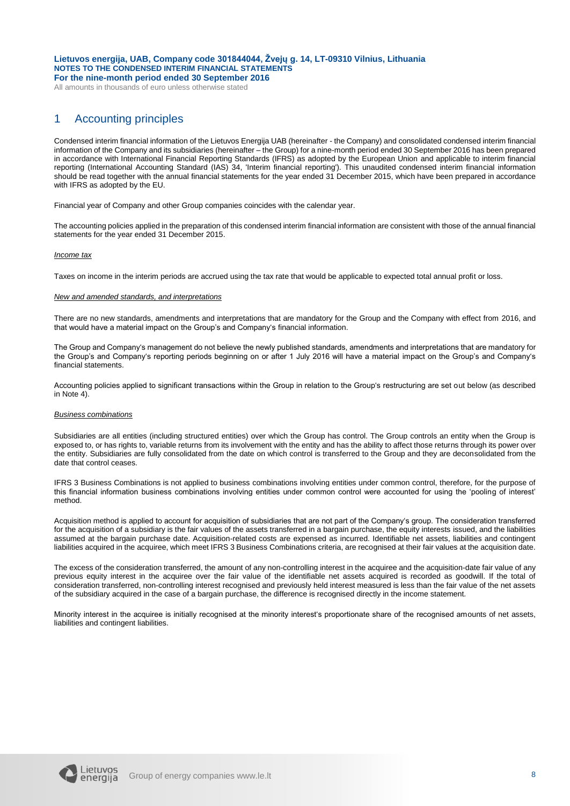All amounts in thousands of euro unless otherwise stated

## 1 Accounting principles

Condensed interim financial information of the Lietuvos Energija UAB (hereinafter - the Company) and consolidated condensed interim financial information of the Company and its subsidiaries (hereinafter – the Group) for a nine-month period ended 30 September 2016 has been prepared in accordance with International Financial Reporting Standards (IFRS) as adopted by the European Union and applicable to interim financial reporting (International Accounting Standard (IAS) 34, 'Interim financial reporting'). This unaudited condensed interim financial information should be read together with the annual financial statements for the year ended 31 December 2015, which have been prepared in accordance with IFRS as adopted by the EU.

Financial year of Company and other Group companies coincides with the calendar year.

The accounting policies applied in the preparation of this condensed interim financial information are consistent with those of the annual financial statements for the year ended 31 December 2015.

#### *Income tax*

Taxes on income in the interim periods are accrued using the tax rate that would be applicable to expected total annual profit or loss.

#### *New and amended standards, and interpretations*

There are no new standards, amendments and interpretations that are mandatory for the Group and the Company with effect from 2016, and that would have a material impact on the Group's and Company's financial information.

The Group and Company's management do not believe the newly published standards, amendments and interpretations that are mandatory for the Group's and Company's reporting periods beginning on or after 1 July 2016 will have a material impact on the Group's and Company's financial statements.

Accounting policies applied to significant transactions within the Group in relation to the Group's restructuring are set out below (as described in Note 4).

#### *Business combinations*

Subsidiaries are all entities (including structured entities) over which the Group has control. The Group controls an entity when the Group is exposed to, or has rights to, variable returns from its involvement with the entity and has the ability to affect those returns through its power over the entity. Subsidiaries are fully consolidated from the date on which control is transferred to the Group and they are deconsolidated from the date that control ceases.

IFRS 3 Business Combinations is not applied to business combinations involving entities under common control, therefore, for the purpose of this financial information business combinations involving entities under common control were accounted for using the 'pooling of interest' method.

Acquisition method is applied to account for acquisition of subsidiaries that are not part of the Company's group. The consideration transferred for the acquisition of a subsidiary is the fair values of the assets transferred in a bargain purchase, the equity interests issued, and the liabilities assumed at the bargain purchase date. Acquisition-related costs are expensed as incurred. Identifiable net assets, liabilities and contingent liabilities acquired in the acquiree, which meet IFRS 3 Business Combinations criteria, are recognised at their fair values at the acquisition date.

The excess of the consideration transferred, the amount of any non-controlling interest in the acquiree and the acquisition-date fair value of any previous equity interest in the acquiree over the fair value of the identifiable net assets acquired is recorded as goodwill. If the total of consideration transferred, non-controlling interest recognised and previously held interest measured is less than the fair value of the net assets of the subsidiary acquired in the case of a bargain purchase, the difference is recognised directly in the income statement.

Minority interest in the acquiree is initially recognised at the minority interest's proportionate share of the recognised amounts of net assets, liabilities and contingent liabilities.

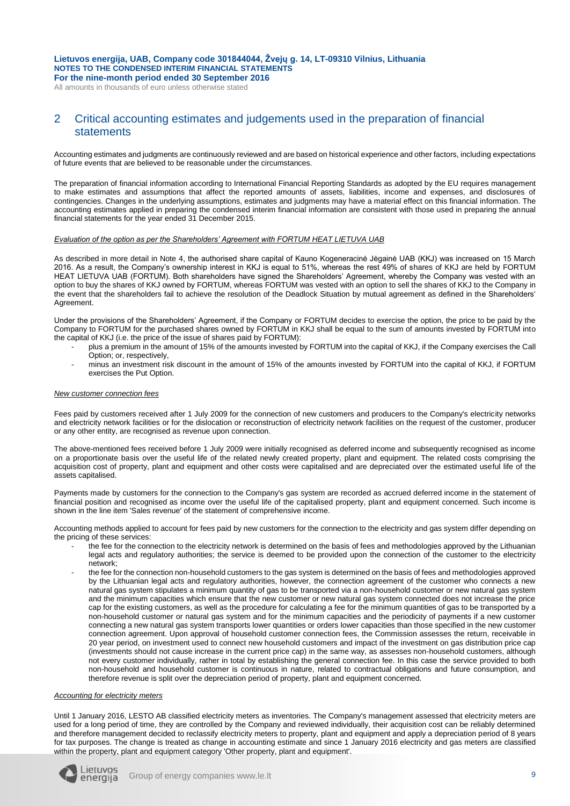All amounts in thousands of euro unless otherwise stated

### 2 Critical accounting estimates and judgements used in the preparation of financial statements

Accounting estimates and judgments are continuously reviewed and are based on historical experience and other factors, including expectations of future events that are believed to be reasonable under the circumstances.

The preparation of financial information according to International Financial Reporting Standards as adopted by the EU requires management to make estimates and assumptions that affect the reported amounts of assets, liabilities, income and expenses, and disclosures of contingencies. Changes in the underlying assumptions, estimates and judgments may have a material effect on this financial information. The accounting estimates applied in preparing the condensed interim financial information are consistent with those used in preparing the annual financial statements for the year ended 31 December 2015.

#### *Evaluation of the option as per the Shareholders' Agreement with FORTUM HEAT LIETUVA UAB*

As described in more detail in Note 4, the authorised share capital of Kauno Kogeneracinė Jėgainė UAB (KKJ) was increased on 15 March 2016. As a result, the Company's ownership interest in KKJ is equal to 51%, whereas the rest 49% of shares of KKJ are held by FORTUM HEAT LIETUVA UAB (FORTUM). Both shareholders have signed the Shareholders' Agreement, whereby the Company was vested with an option to buy the shares of KKJ owned by FORTUM, whereas FORTUM was vested with an option to sell the shares of KKJ to the Company in the event that the shareholders fail to achieve the resolution of the Deadlock Situation by mutual agreement as defined in the Shareholders' Agreement.

Under the provisions of the Shareholders' Agreement, if the Company or FORTUM decides to exercise the option, the price to be paid by the Company to FORTUM for the purchased shares owned by FORTUM in KKJ shall be equal to the sum of amounts invested by FORTUM into the capital of KKJ (i.e. the price of the issue of shares paid by FORTUM):

- plus a premium in the amount of 15% of the amounts invested by FORTUM into the capital of KKJ, if the Company exercises the Call Option; or, respectively,
- minus an investment risk discount in the amount of 15% of the amounts invested by FORTUM into the capital of KKJ, if FORTUM exercises the Put Option.

#### *New customer connection fees*

Fees paid by customers received after 1 July 2009 for the connection of new customers and producers to the Company's electricity networks and electricity network facilities or for the dislocation or reconstruction of electricity network facilities on the request of the customer, producer or any other entity, are recognised as revenue upon connection.

The above-mentioned fees received before 1 July 2009 were initially recognised as deferred income and subsequently recognised as income on a proportionate basis over the useful life of the related newly created property, plant and equipment. The related costs comprising the acquisition cost of property, plant and equipment and other costs were capitalised and are depreciated over the estimated useful life of the assets capitalised.

Payments made by customers for the connection to the Company's gas system are recorded as accrued deferred income in the statement of financial position and recognised as income over the useful life of the capitalised property, plant and equipment concerned. Such income is shown in the line item 'Sales revenue' of the statement of comprehensive income.

Accounting methods applied to account for fees paid by new customers for the connection to the electricity and gas system differ depending on the pricing of these services:

- the fee for the connection to the electricity network is determined on the basis of fees and methodologies approved by the Lithuanian legal acts and regulatory authorities; the service is deemed to be provided upon the connection of the customer to the electricity network;
- the fee for the connection non-household customers to the gas system is determined on the basis of fees and methodologies approved by the Lithuanian legal acts and regulatory authorities, however, the connection agreement of the customer who connects a new natural gas system stipulates a minimum quantity of gas to be transported via a non-household customer or new natural gas system and the minimum capacities which ensure that the new customer or new natural gas system connected does not increase the price cap for the existing customers, as well as the procedure for calculating a fee for the minimum quantities of gas to be transported by a non-household customer or natural gas system and for the minimum capacities and the periodicity of payments if a new customer connecting a new natural gas system transports lower quantities or orders lower capacities than those specified in the new customer connection agreement. Upon approval of household customer connection fees, the Commission assesses the return, receivable in 20 year period, on investment used to connect new household customers and impact of the investment on gas distribution price cap (investments should not cause increase in the current price cap) in the same way, as assesses non-household customers, although not every customer individually, rather in total by establishing the general connection fee. In this case the service provided to both non-household and household customer is continuous in nature, related to contractual obligations and future consumption, and therefore revenue is split over the depreciation period of property, plant and equipment concerned.

#### *Accounting for electricity meters*

Until 1 January 2016, LESTO AB classified electricity meters as inventories. The Company's management assessed that electricity meters are used for a long period of time, they are controlled by the Company and reviewed individually, their acquisition cost can be reliably determined and therefore management decided to reclassify electricity meters to property, plant and equipment and apply a depreciation period of 8 years for tax purposes. The change is treated as change in accounting estimate and since 1 January 2016 electricity and gas meters are classified within the property, plant and equipment category 'Other property, plant and equipment'.

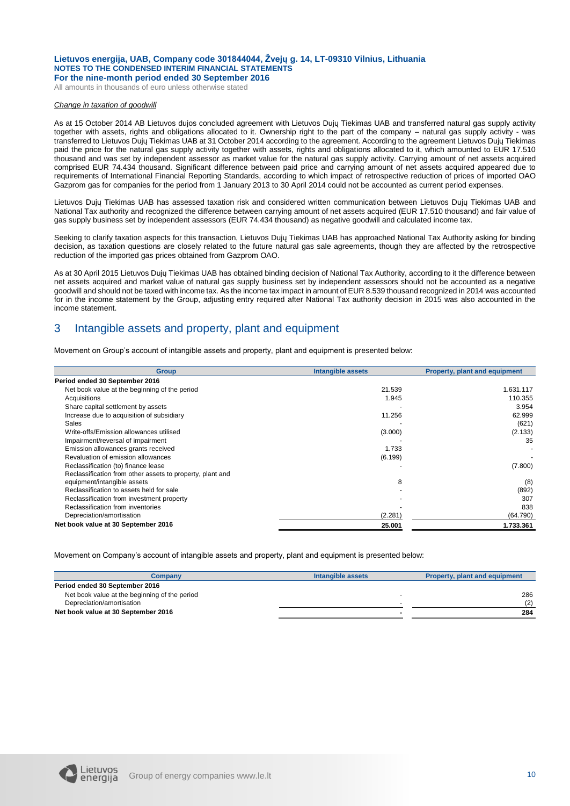All amounts in thousands of euro unless otherwise stated

#### *Change in taxation of goodwill*

As at 15 October 2014 AB Lietuvos dujos concluded agreement with Lietuvos Dujų Tiekimas UAB and transferred natural gas supply activity together with assets, rights and obligations allocated to it. Ownership right to the part of the company – natural gas supply activity - was transferred to Lietuvos Dujų Tiekimas UAB at 31 October 2014 according to the agreement. According to the agreement Lietuvos Dujų Tiekimas paid the price for the natural gas supply activity together with assets, rights and obligations allocated to it, which amounted to EUR 17.510 thousand and was set by independent assessor as market value for the natural gas supply activity. Carrying amount of net assets acquired comprised EUR 74.434 thousand. Significant difference between paid price and carrying amount of net assets acquired appeared due to requirements of International Financial Reporting Standards, according to which impact of retrospective reduction of prices of imported OAO Gazprom gas for companies for the period from 1 January 2013 to 30 April 2014 could not be accounted as current period expenses.

Lietuvos Dujų Tiekimas UAB has assessed taxation risk and considered written communication between Lietuvos Dujų Tiekimas UAB and National Tax authority and recognized the difference between carrying amount of net assets acquired (EUR 17.510 thousand) and fair value of gas supply business set by independent assessors (EUR 74.434 thousand) as negative goodwill and calculated income tax.

Seeking to clarify taxation aspects for this transaction, Lietuvos Dujų Tiekimas UAB has approached National Tax Authority asking for binding decision, as taxation questions are closely related to the future natural gas sale agreements, though they are affected by the retrospective reduction of the imported gas prices obtained from Gazprom OAO.

As at 30 April 2015 Lietuvos Dujų Tiekimas UAB has obtained binding decision of National Tax Authority, according to it the difference between net assets acquired and market value of natural gas supply business set by independent assessors should not be accounted as a negative goodwill and should not be taxed with income tax. As the income tax impact in amount of EUR 8.539 thousand recognized in 2014 was accounted for in the income statement by the Group, adjusting entry required after National Tax authority decision in 2015 was also accounted in the income statement.

## 3 Intangible assets and property, plant and equipment

Movement on Group's account of intangible assets and property, plant and equipment is presented below:

| <b>Group</b>                                              | <b>Intangible assets</b> | <b>Property, plant and equipment</b> |
|-----------------------------------------------------------|--------------------------|--------------------------------------|
| Period ended 30 September 2016                            |                          |                                      |
| Net book value at the beginning of the period             | 21.539                   | 1.631.117                            |
| Acquisitions                                              | 1.945                    | 110.355                              |
| Share capital settlement by assets                        |                          | 3.954                                |
| Increase due to acquisition of subsidiary                 | 11.256                   | 62.999                               |
| Sales                                                     |                          | (621)                                |
| Write-offs/Emission allowances utilised                   | (3.000)                  | (2.133)                              |
| Impairment/reversal of impairment                         |                          | 35                                   |
| Emission allowances grants received                       | 1.733                    |                                      |
| Revaluation of emission allowances                        | (6.199)                  |                                      |
| Reclassification (to) finance lease                       |                          | (7.800)                              |
| Reclassification from other assets to property, plant and |                          |                                      |
| equipment/intangible assets                               | 8                        | (8)                                  |
| Reclassification to assets held for sale                  |                          | (892)                                |
| Reclassification from investment property                 |                          | 307                                  |
| Reclassification from inventories                         |                          | 838                                  |
| Depreciation/amortisation                                 | (2.281)                  | (64.790)                             |
| Net book value at 30 September 2016                       | 25.001                   | 1.733.361                            |

Movement on Company's account of intangible assets and property, plant and equipment is presented below:

| Company                                       | Intangible assets | Property, plant and equipment |
|-----------------------------------------------|-------------------|-------------------------------|
| Period ended 30 September 2016                |                   |                               |
| Net book value at the beginning of the period |                   | 286                           |
| Depreciation/amortisation                     |                   | (2)                           |
| Net book value at 30 September 2016           |                   | 284                           |

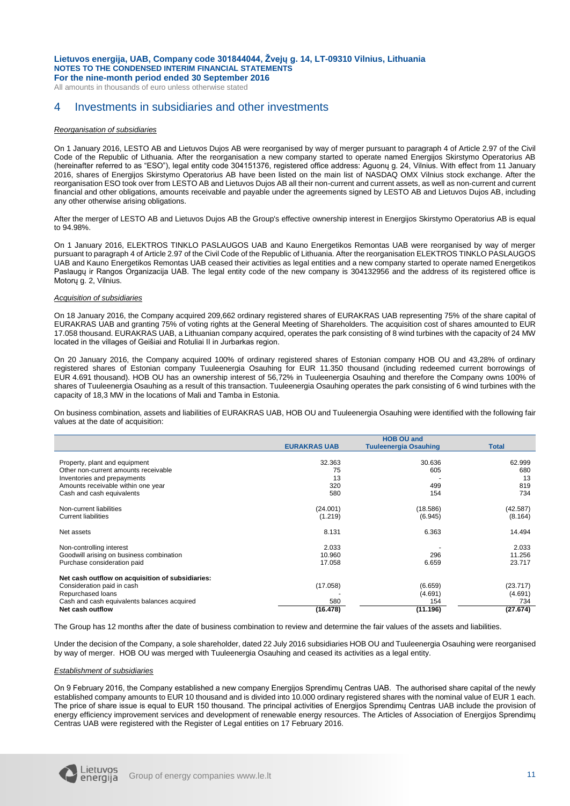All amounts in thousands of euro unless otherwise stated

## 4 Investments in subsidiaries and other investments

#### *Reorganisation of subsidiaries*

On 1 January 2016, LESTO AB and Lietuvos Dujos AB were reorganised by way of merger pursuant to paragraph 4 of Article 2.97 of the Civil Code of the Republic of Lithuania. After the reorganisation a new company started to operate named Energijos Skirstymo Operatorius AB (hereinafter referred to as "ESO"), legal entity code 304151376, registered office address: Aguonų g. 24, Vilnius. With effect from 11 January 2016, shares of Energijos Skirstymo Operatorius AB have been listed on the main list of NASDAQ OMX Vilnius stock exchange. After the reorganisation ESO took over from LESTO AB and Lietuvos Dujos AB all their non-current and current assets, as well as non-current and current financial and other obligations, amounts receivable and payable under the agreements signed by LESTO AB and Lietuvos Dujos AB, including any other otherwise arising obligations.

After the merger of LESTO AB and Lietuvos Dujos AB the Group's effective ownership interest in Energijos Skirstymo Operatorius AB is equal to 94.98%.

On 1 January 2016, ELEKTROS TINKLO PASLAUGOS UAB and Kauno Energetikos Remontas UAB were reorganised by way of merger pursuant to paragraph 4 of Article 2.97 of the Civil Code of the Republic of Lithuania. After the reorganisation ELEKTROS TINKLO PASLAUGOS UAB and Kauno Energetikos Remontas UAB ceased their activities as legal entities and a new company started to operate named Energetikos Paslaugų ir Rangos Organizacija UAB. The legal entity code of the new company is 304132956 and the address of its registered office is Motorų g. 2, Vilnius.

#### *Acquisition of subsidiaries*

On 18 January 2016, the Company acquired 209,662 ordinary registered shares of EURAKRAS UAB representing 75% of the share capital of EURAKRAS UAB and granting 75% of voting rights at the General Meeting of Shareholders. The acquisition cost of shares amounted to EUR 17.058 thousand. EURAKRAS UAB, a Lithuanian company acquired, operates the park consisting of 8 wind turbines with the capacity of 24 MW located in the villages of Geišiai and Rotuliai II in Jurbarkas region.

On 20 January 2016, the Company acquired 100% of ordinary registered shares of Estonian company HOB OU and 43,28% of ordinary registered shares of Estonian company Tuuleenergia Osauhing for EUR 11.350 thousand (including redeemed current borrowings of EUR 4.691 thousand). HOB OU has an ownership interest of 56,72% in Tuuleenergia Osauhing and therefore the Company owns 100% of shares of Tuuleenergia Osauhing as a result of this transaction. Tuuleenergia Osauhing operates the park consisting of 6 wind turbines with the capacity of 18,3 MW in the locations of Mali and Tamba in Estonia.

On business combination, assets and liabilities of EURAKRAS UAB, HOB OU and Tuuleenergia Osauhing were identified with the following fair values at the date of acquisition:

|                                                  | <b>HOB OU and</b>   |                              |              |  |  |  |
|--------------------------------------------------|---------------------|------------------------------|--------------|--|--|--|
|                                                  | <b>EURAKRAS UAB</b> | <b>Tuuleenergia Osauhing</b> | <b>Total</b> |  |  |  |
|                                                  |                     |                              |              |  |  |  |
| Property, plant and equipment                    | 32.363              | 30.636                       | 62.999       |  |  |  |
| Other non-current amounts receivable             | 75                  | 605                          | 680          |  |  |  |
| Inventories and prepayments                      | 13                  |                              | 13           |  |  |  |
| Amounts receivable within one year               | 320                 | 499                          | 819          |  |  |  |
| Cash and cash equivalents                        | 580                 | 154                          | 734          |  |  |  |
| Non-current liabilities                          | (24.001)            | (18.586)                     | (42.587)     |  |  |  |
| <b>Current liabilities</b>                       | (1.219)             | (6.945)                      | (8.164)      |  |  |  |
| Net assets                                       | 8.131               | 6.363                        | 14.494       |  |  |  |
| Non-controlling interest                         | 2.033               |                              | 2.033        |  |  |  |
| Goodwill arising on business combination         | 10.960              | 296                          | 11.256       |  |  |  |
| Purchase consideration paid                      | 17.058              | 6.659                        | 23.717       |  |  |  |
| Net cash outflow on acquisition of subsidiaries: |                     |                              |              |  |  |  |
| Consideration paid in cash                       | (17.058)            | (6.659)                      | (23.717)     |  |  |  |
| Repurchased loans                                |                     | (4.691)                      | (4.691)      |  |  |  |
| Cash and cash equivalents balances acquired      | 580                 | 154                          | 734          |  |  |  |
| Net cash outflow                                 | (16.478)            | (11.196)                     | (27.674)     |  |  |  |

The Group has 12 months after the date of business combination to review and determine the fair values of the assets and liabilities.

Under the decision of the Company, a sole shareholder, dated 22 July 2016 subsidiaries HOB OU and Tuuleenergia Osauhing were reorganised by way of merger. HOB OU was merged with Tuuleenergia Osauhing and ceased its activities as a legal entity.

#### *Establishment of subsidiaries*

On 9 February 2016, the Company established a new company Energijos Sprendimų Centras UAB. The authorised share capital of the newly established company amounts to EUR 10 thousand and is divided into 10.000 ordinary registered shares with the nominal value of EUR 1 each. The price of share issue is equal to EUR 150 thousand. The principal activities of Energijos Sprendimų Centras UAB include the provision of energy efficiency improvement services and development of renewable energy resources. The Articles of Association of Energijos Sprendimų Centras UAB were registered with the Register of Legal entities on 17 February 2016.

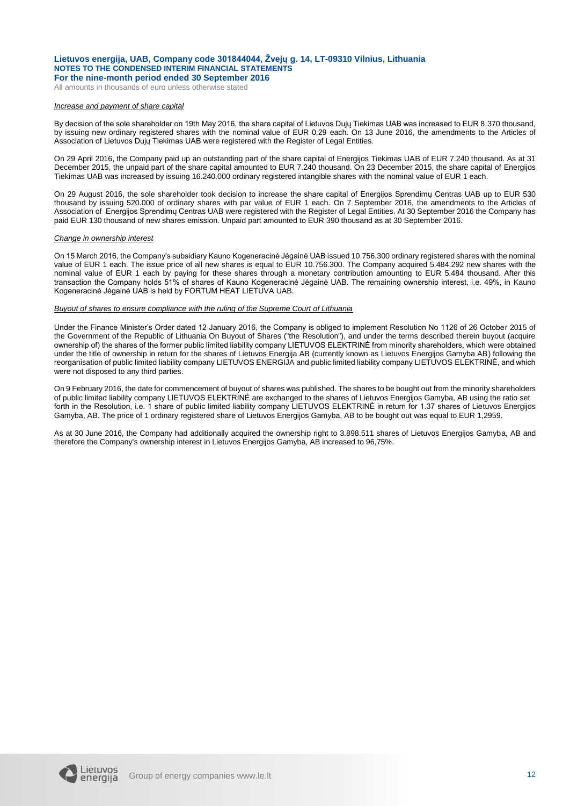All amounts in thousands of euro unless otherwise stated

#### *Increase and payment of share capital*

By decision of the sole shareholder on 19th May 2016, the share capital of Lietuvos Dujų Tiekimas UAB was increased to EUR 8.370 thousand, by issuing new ordinary registered shares with the nominal value of EUR 0,29 each. On 13 June 2016, the amendments to the Articles of Association of Lietuvos Dujų Tiekimas UAB were registered with the Register of Legal Entities.

On 29 April 2016, the Company paid up an outstanding part of the share capital of Energijos Tiekimas UAB of EUR 7.240 thousand. As at 31 December 2015, the unpaid part of the share capital amounted to EUR 7.240 thousand. On 23 December 2015, the share capital of Energijos Tiekimas UAB was increased by issuing 16.240.000 ordinary registered intangible shares with the nominal value of EUR 1 each.

On 29 August 2016, the sole shareholder took decision to increase the share capital of Energijos Sprendimų Centras UAB up to EUR 530 thousand by issuing 520.000 of ordinary shares with par value of EUR 1 each. On 7 September 2016, the amendments to the Articles of Association of Energijos Sprendimų Centras UAB were registered with the Register of Legal Entities. At 30 September 2016 the Company has paid EUR 130 thousand of new shares emission. Unpaid part amounted to EUR 390 thousand as at 30 September 2016.

#### *Change in ownership interest*

On 15 March 2016, the Company's subsidiary Kauno Kogeneracinė Jėgainė UAB issued 10.756.300 ordinary registered shares with the nominal value of EUR 1 each. The issue price of all new shares is equal to EUR 10.756.300. The Company acquired 5.484.292 new shares with the nominal value of EUR 1 each by paying for these shares through a monetary contribution amounting to EUR 5.484 thousand. After this transaction the Company holds 51% of shares of Kauno Kogeneracinė Jėgainė UAB. The remaining ownership interest, i.e. 49%, in Kauno Kogeneracinė Jėgainė UAB is held by FORTUM HEAT LIETUVA UAB.

#### *Buyout of shares to ensure compliance with the ruling of the Supreme Court of Lithuania*

Under the Finance Minister's Order dated 12 January 2016, the Company is obliged to implement Resolution No 1126 of 26 October 2015 of the Government of the Republic of Lithuania On Buyout of Shares ("the Resolution"), and under the terms described therein buyout (acquire ownership of) the shares of the former public limited liability company LIETUVOS ELEKTRINE from minority shareholders, which were obtained under the title of ownership in return for the shares of Lietuvos Energija AB (currently known as Lietuvos Energijos Gamyba AB) following the reorganisation of public limited liability company LIETUVOS ENERGIJA and public limited liability company LIETUVOS ELEKTRINĖ, and which were not disposed to any third parties.

On 9 February 2016, the date for commencement of buyout of shares was published. The shares to be bought out from the minority shareholders of public limited liability company LIETUVOS ELEKTRINĖ are exchanged to the shares of Lietuvos Energijos Gamyba, AB using the ratio set forth in the Resolution, i.e. 1 share of public limited liability company LIETUVOS ELEKTRINĖ in return for 1.37 shares of Lietuvos Energijos Gamyba, AB. The price of 1 ordinary registered share of Lietuvos Energijos Gamyba, AB to be bought out was equal to EUR 1,2959.

As at 30 June 2016, the Company had additionally acquired the ownership right to 3.898.511 shares of Lietuvos Energijos Gamyba, AB and therefore the Company's ownership interest in Lietuvos Energijos Gamyba, AB increased to 96,75%.

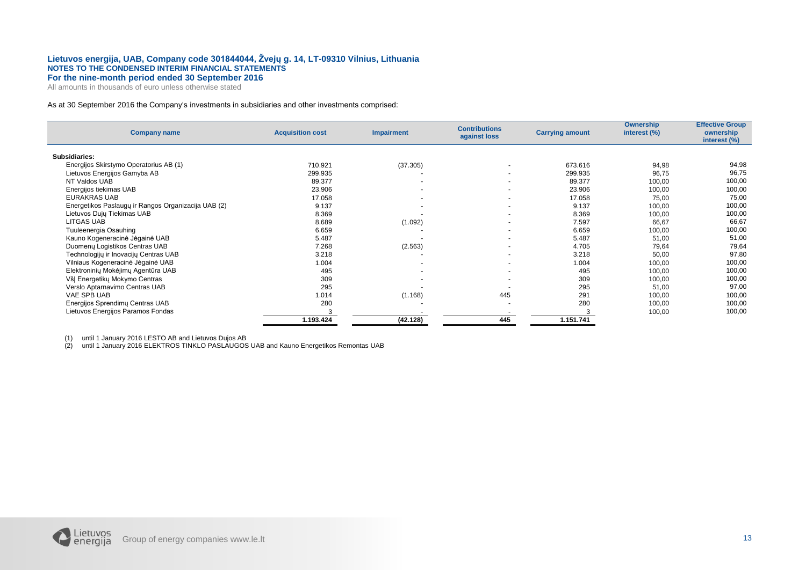All amounts in thousands of euro unless otherwise stated

#### As at 30 September 2016 the Company's investments in subsidiaries and other investments comprised:

| <b>Company name</b>                                 | <b>Acquisition cost</b> | <b>Impairment</b> | <b>Contributions</b><br>against loss | <b>Carrying amount</b> | <b>Ownership</b><br>interest (%) | <b>Effective Group</b><br>ownership<br>interest (%) |
|-----------------------------------------------------|-------------------------|-------------------|--------------------------------------|------------------------|----------------------------------|-----------------------------------------------------|
| Subsidiaries:                                       |                         |                   |                                      |                        |                                  |                                                     |
| Energijos Skirstymo Operatorius AB (1)              | 710.921                 | (37.305)          |                                      | 673.616                | 94,98                            | 94,98                                               |
| Lietuvos Energijos Gamyba AB                        | 299.935                 |                   | $\overline{\phantom{a}}$             | 299.935                | 96,75                            | 96,75                                               |
| NT Valdos UAB                                       | 89.377                  | $\overline{a}$    | $\sim$                               | 89.377                 | 100,00                           | 100,00                                              |
| Energijos tiekimas UAB                              | 23.906                  | $\overline{a}$    | $\overline{\phantom{a}}$             | 23.906                 | 100,00                           | 100,00                                              |
| <b>EURAKRAS UAB</b>                                 | 17.058                  |                   | $\overline{a}$                       | 17.058                 | 75,00                            | 75,00                                               |
| Energetikos Paslaugų ir Rangos Organizacija UAB (2) | 9.137                   |                   | $\overline{\phantom{0}}$             | 9.137                  | 100,00                           | 100,00                                              |
| Lietuvos Dujų Tiekimas UAB                          | 8.369                   |                   | $\overline{a}$                       | 8.369                  | 100,00                           | 100,00                                              |
| LITGAS UAB                                          | 8.689                   | (1.092)           | $\overline{\phantom{a}}$             | 7.597                  | 66,67                            | 66,67                                               |
| Tuuleenergia Osauhing                               | 6.659                   |                   |                                      | 6.659                  | 100,00                           | 100,00                                              |
| Kauno Kogeneracinė Jėgainė UAB                      | 5.487                   |                   | $\overline{a}$                       | 5.487                  | 51,00                            | 51,00                                               |
| Duomenu Logistikos Centras UAB                      | 7.268                   | (2.563)           | $\overline{a}$                       | 4.705                  | 79,64                            | 79,64                                               |
| Technologijų ir Inovacijų Centras UAB               | 3.218                   |                   | $\sim$                               | 3.218                  | 50,00                            | 97,80                                               |
| Vilniaus Kogeneracinė Jėgainė UAB                   | 1.004                   |                   | $\overline{a}$                       | 1.004                  | 100,00                           | 100,00                                              |
| Elektroninių Mokėjimų Agentūra UAB                  | 495                     |                   | $\overline{a}$                       | 495                    | 100,00                           | 100,00                                              |
| VšJ Energetikų Mokymo Centras                       | 309                     |                   | $\overline{a}$                       | 309                    | 100,00                           | 100,00                                              |
| Verslo Aptarnavimo Centras UAB                      | 295                     |                   |                                      | 295                    | 51,00                            | 97,00                                               |
| VAE SPB UAB                                         | 1.014                   | (1.168)           | 445                                  | 291                    | 100,00                           | 100,00                                              |
| Energijos Sprendimų Centras UAB                     | 280                     |                   | $\overline{\phantom{a}}$             | 280                    | 100,00                           | 100,00                                              |
| Lietuvos Energijos Paramos Fondas                   |                         |                   |                                      |                        | 100,00                           | 100,00                                              |
|                                                     | 1.193.424               | (42.128)          | 445                                  | 1.151.741              |                                  |                                                     |

(1) until 1 January 2016 LESTO AB and Lietuvos Dujos AB

(2) until 1 January 2016 ELEKTROS TINKLO PASLAUGOS UAB and Kauno Energetikos Remontas UAB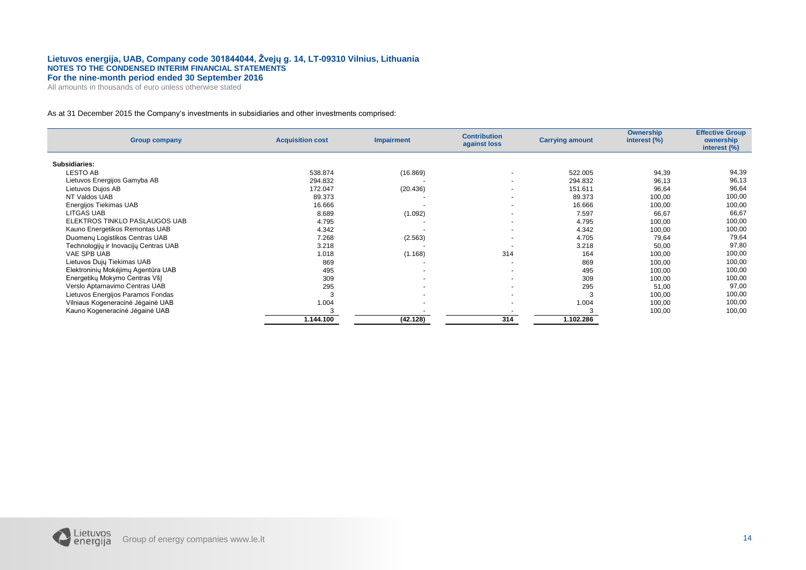All amounts in thousands of euro unless otherwise stated

#### As at 31 December 2015 the Company's investments in subsidiaries and other investments comprised:

| <b>Group company</b>                  | <b>Acquisition cost</b> | <b>Impairment</b>        | <b>Contribution</b><br>against loss | <b>Carrying amount</b> | <b>Ownership</b><br>interest (%) | <b>Effective Group</b><br>ownership<br>interest (%) |
|---------------------------------------|-------------------------|--------------------------|-------------------------------------|------------------------|----------------------------------|-----------------------------------------------------|
| Subsidiaries:                         |                         |                          |                                     |                        |                                  |                                                     |
| LESTO AB                              | 538.874                 | (16.869)                 | $\blacksquare$                      | 522.005                | 94,39                            | 94,39                                               |
| Lietuvos Energijos Gamyba AB          | 294.832                 |                          | $\blacksquare$                      | 294.832                | 96,13                            | 96,13                                               |
| Lietuvos Dujos AB                     | 172.047                 | (20.436)                 | $\overline{a}$                      | 151.611                | 96,64                            | 96,64                                               |
| NT Valdos UAB                         | 89.373                  |                          | ٠                                   | 89.373                 | 100,00                           | 100,00                                              |
| Energijos Tiekimas UAB                | 16.666                  |                          | $\blacksquare$                      | 16.666                 | 100,00                           | 100,00                                              |
| <b>LITGAS UAB</b>                     | 8.689                   | (1.092)                  | $\overline{\phantom{a}}$            | 7.597                  | 66,67                            | 66,67                                               |
| ELEKTROS TINKLO PASLAUGOS UAB         | 4.795                   |                          | $\overline{\phantom{a}}$            | 4.795                  | 100,00                           | 100,00                                              |
| Kauno Energetikos Remontas UAB        | 4.342                   |                          | $\blacksquare$                      | 4.342                  | 100,00                           | 100,00                                              |
| Duomenų Logistikos Centras UAB        | 7.268                   | (2.563)                  | $\overline{a}$                      | 4.705                  | 79,64                            | 79,64                                               |
| Technologijų ir Inovacijų Centras UAB | 3.218                   |                          |                                     | 3.218                  | 50,00                            | 97,80                                               |
| VAE SPB UAB                           | 1.018                   | (1.168)                  | 314                                 | 164                    | 100,00                           | 100,00                                              |
| Lietuvos Dujų Tiekimas UAB            | 869                     |                          | $\overline{a}$                      | 869                    | 100,00                           | 100,00                                              |
| Elektroninių Mokėjimų Agentūra UAB    | 495                     | $\sim$                   | $\overline{\phantom{a}}$            | 495                    | 100,00                           | 100,00                                              |
| Energetikų Mokymo Centras VšJ         | 309                     | $\overline{\phantom{a}}$ | $\sim$                              | 309                    | 100,00                           | 100,00                                              |
| Verslo Aptarnavimo Centras UAB        | 295                     | $\overline{\phantom{a}}$ | $\blacksquare$                      | 295                    | 51,00                            | 97,00                                               |
| Lietuvos Energijos Paramos Fondas     |                         |                          | $\sim$                              |                        | 100,00                           | 100,00                                              |
| Vilniaus Kogeneracinė Jėgainė UAB     | 1.004                   |                          | $\overline{a}$                      | 1.004                  | 100,00                           | 100,00                                              |
| Kauno Kogeneracinė Jėgainė UAB        |                         |                          |                                     |                        | 100,00                           | 100,00                                              |
|                                       | 1.144.100               | (42.128)                 | 314                                 | 1.102.286              |                                  |                                                     |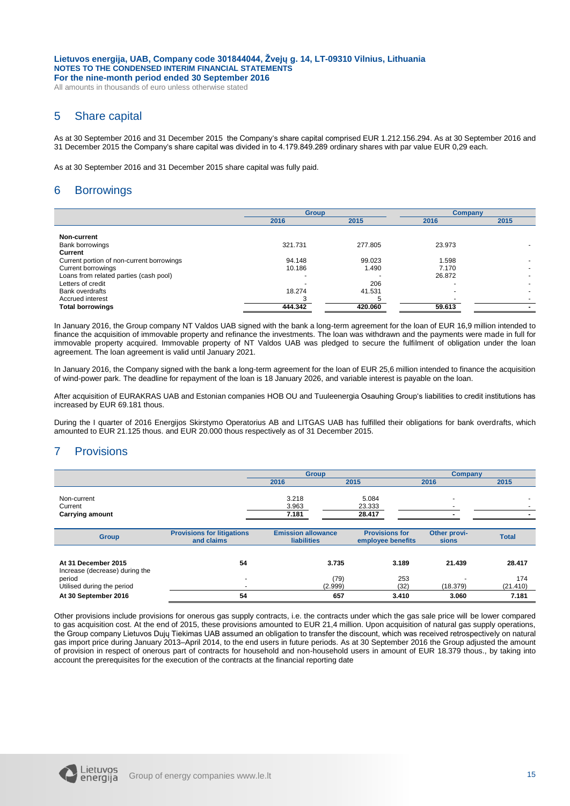All amounts in thousands of euro unless otherwise stated

## 5 Share capital

As at 30 September 2016 and 31 December 2015 the Company's share capital comprised EUR 1.212.156.294. As at 30 September 2016 and 31 December 2015 the Company's share capital was divided in to 4.179.849.289 ordinary shares with par value EUR 0,29 each.

As at 30 September 2016 and 31 December 2015 share capital was fully paid.

## 6 Borrowings

|                                           | <b>Group</b> |         | Company |      |
|-------------------------------------------|--------------|---------|---------|------|
|                                           | 2016         | 2015    | 2016    | 2015 |
|                                           |              |         |         |      |
| Non-current                               |              |         |         |      |
| <b>Bank borrowings</b>                    | 321.731      | 277.805 | 23.973  |      |
| Current                                   |              |         |         |      |
| Current portion of non-current borrowings | 94.148       | 99.023  | 1.598   |      |
| Current borrowings                        | 10.186       | 1.490   | 7.170   |      |
| Loans from related parties (cash pool)    |              |         | 26.872  |      |
| Letters of credit                         |              | 206     |         |      |
| <b>Bank overdrafts</b>                    | 18.274       | 41.531  |         |      |
| Accrued interest                          |              |         |         |      |
| <b>Total borrowings</b>                   | 444.342      | 420.060 | 59.613  |      |

In January 2016, the Group company NT Valdos UAB signed with the bank a long-term agreement for the loan of EUR 16,9 million intended to finance the acquisition of immovable property and refinance the investments. The loan was withdrawn and the payments were made in full for immovable property acquired. Immovable property of NT Valdos UAB was pledged to secure the fulfilment of obligation under the loan agreement. The loan agreement is valid until January 2021.

In January 2016, the Company signed with the bank a long-term agreement for the loan of EUR 25,6 million intended to finance the acquisition of wind-power park. The deadline for repayment of the loan is 18 January 2026, and variable interest is payable on the loan.

After acquisition of EURAKRAS UAB and Estonian companies HOB OU and Tuuleenergia Osauhing Group's liabilities to credit institutions has increased by EUR 69.181 thous.

During the I quarter of 2016 Energijos Skirstymo Operatorius AB and LITGAS UAB has fulfilled their obligations for bank overdrafts, which amounted to EUR 21.125 thous. and EUR 20.000 thous respectively as of 31 December 2015.

## 7 Provisions

|                                                       |                                                 | <b>Group</b>                                    |                                            | Company                      |                 |  |
|-------------------------------------------------------|-------------------------------------------------|-------------------------------------------------|--------------------------------------------|------------------------------|-----------------|--|
|                                                       |                                                 | 2016                                            | 2015                                       | 2016                         | 2015            |  |
| Non-current<br>Current<br><b>Carrying amount</b>      |                                                 | 3.218<br>3.963<br>7.181                         | 5.084<br>23.333<br>28.417                  | ۰<br>-                       |                 |  |
| <b>Group</b>                                          | <b>Provisions for litigations</b><br>and claims | <b>Emission allowance</b><br><b>liabilities</b> | <b>Provisions for</b><br>employee benefits | Other provi-<br><b>sions</b> | <b>Total</b>    |  |
| At 31 December 2015<br>Increase (decrease) during the | 54                                              | 3.735                                           | 3.189                                      | 21.439                       | 28.417          |  |
| period<br>Utilised during the period                  | $\overline{a}$                                  | (79)<br>(2.999)                                 | 253<br>(32)                                | (18.379)                     | 174<br>(21.410) |  |
| At 30 September 2016                                  | 54                                              | 657                                             | 3.410                                      | 3.060                        | 7.181           |  |

Other provisions include provisions for onerous gas supply contracts, i.e. the contracts under which the gas sale price will be lower compared to gas acquisition cost. At the end of 2015, these provisions amounted to EUR 21,4 million. Upon acquisition of natural gas supply operations, the Group company Lietuvos Dujų Tiekimas UAB assumed an obligation to transfer the discount, which was received retrospectively on natural gas import price during January 2013–April 2014, to the end users in future periods. As at 30 September 2016 the Group adjusted the amount of provision in respect of onerous part of contracts for household and non-household users in amount of EUR 18.379 thous., by taking into account the prerequisites for the execution of the contracts at the financial reporting date

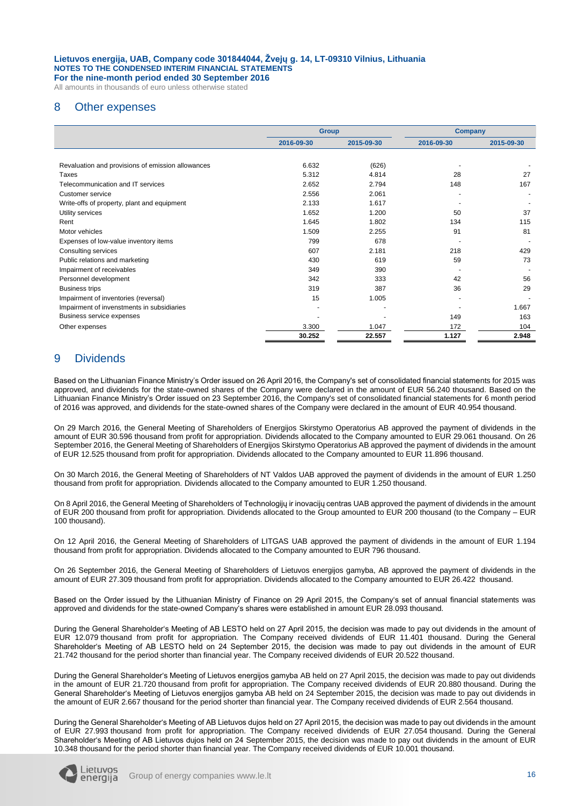All amounts in thousands of euro unless otherwise stated

## 8 Other expenses

|                                                   | <b>Group</b> |            | <b>Company</b> |            |
|---------------------------------------------------|--------------|------------|----------------|------------|
|                                                   | 2016-09-30   | 2015-09-30 | 2016-09-30     | 2015-09-30 |
|                                                   |              |            |                |            |
| Revaluation and provisions of emission allowances | 6.632        | (626)      |                |            |
| Taxes                                             | 5.312        | 4.814      | 28             | 27         |
| Telecommunication and IT services                 | 2.652        | 2.794      | 148            | 167        |
| Customer service                                  | 2.556        | 2.061      |                |            |
| Write-offs of property, plant and equipment       | 2.133        | 1.617      |                |            |
| Utility services                                  | 1.652        | 1.200      | 50             | 37         |
| Rent                                              | 1.645        | 1.802      | 134            | 115        |
| Motor vehicles                                    | 1.509        | 2.255      | 91             | 81         |
| Expenses of low-value inventory items             | 799          | 678        |                |            |
| Consulting services                               | 607          | 2.181      | 218            | 429        |
| Public relations and marketing                    | 430          | 619        | 59             | 73         |
| Impairment of receivables                         | 349          | 390        |                |            |
| Personnel development                             | 342          | 333        | 42             | 56         |
| <b>Business trips</b>                             | 319          | 387        | 36             | 29         |
| Impairment of inventories (reversal)              | 15           | 1.005      |                |            |
| Impairment of invenstments in subsidiaries        |              |            |                | 1.667      |
| Business service expenses                         |              |            | 149            | 163        |
| Other expenses                                    | 3.300        | 1.047      | 172            | 104        |
|                                                   | 30.252       | 22.557     | 1.127          | 2.948      |

## 9 Dividends

Based on the Lithuanian Finance Ministry's Order issued on 26 April 2016, the Company's set of consolidated financial statements for 2015 was approved, and dividends for the state-owned shares of the Company were declared in the amount of EUR 56.240 thousand. Based on the Lithuanian Finance Ministry's Order issued on 23 September 2016, the Company's set of consolidated financial statements for 6 month period of 2016 was approved, and dividends for the state-owned shares of the Company were declared in the amount of EUR 40.954 thousand.

On 29 March 2016, the General Meeting of Shareholders of Energijos Skirstymo Operatorius AB approved the payment of dividends in the amount of EUR 30.596 thousand from profit for appropriation. Dividends allocated to the Company amounted to EUR 29.061 thousand. On 26 September 2016, the General Meeting of Shareholders of Energijos Skirstymo Operatorius AB approved the payment of dividends in the amount of EUR 12.525 thousand from profit for appropriation. Dividends allocated to the Company amounted to EUR 11.896 thousand.

On 30 March 2016, the General Meeting of Shareholders of NT Valdos UAB approved the payment of dividends in the amount of EUR 1.250 thousand from profit for appropriation. Dividends allocated to the Company amounted to EUR 1.250 thousand.

On 8 April 2016, the General Meeting of Shareholders of Technologijų ir inovacijų centras UAB approved the payment of dividends in the amount of EUR 200 thousand from profit for appropriation. Dividends allocated to the Group amounted to EUR 200 thousand (to the Company – EUR 100 thousand).

On 12 April 2016, the General Meeting of Shareholders of LITGAS UAB approved the payment of dividends in the amount of EUR 1.194 thousand from profit for appropriation. Dividends allocated to the Company amounted to EUR 796 thousand.

On 26 September 2016, the General Meeting of Shareholders of Lietuvos energijos gamyba, AB approved the payment of dividends in the amount of EUR 27.309 thousand from profit for appropriation. Dividends allocated to the Company amounted to EUR 26.422 thousand.

Based on the Order issued by the Lithuanian Ministry of Finance on 29 April 2015, the Company's set of annual financial statements was approved and dividends for the state-owned Company's shares were established in amount EUR 28.093 thousand.

During the General Shareholder's Meeting of AB LESTO held on 27 April 2015, the decision was made to pay out dividends in the amount of EUR 12.079 thousand from profit for appropriation. The Company received dividends of EUR 11.401 thousand. During the General Shareholder's Meeting of AB LESTO held on 24 September 2015, the decision was made to pay out dividends in the amount of EUR 21.742 thousand for the period shorter than financial year. The Company received dividends of EUR 20.522 thousand.

During the General Shareholder's Meeting of Lietuvos energijos gamyba AB held on 27 April 2015, the decision was made to pay out dividends in the amount of EUR 21.720 thousand from profit for appropriation. The Company received dividends of EUR 20.880 thousand. During the General Shareholder's Meeting of Lietuvos energijos gamyba AB held on 24 September 2015, the decision was made to pay out dividends in the amount of EUR 2.667 thousand for the period shorter than financial year. The Company received dividends of EUR 2.564 thousand.

During the General Shareholder's Meeting of AB Lietuvos dujos held on 27 April 2015, the decision was made to pay out dividends in the amount of EUR 27.993 thousand from profit for appropriation. The Company received dividends of EUR 27.054 thousand. During the General Shareholder's Meeting of AB Lietuvos dujos held on 24 September 2015, the decision was made to pay out dividends in the amount of EUR 10.348 thousand for the period shorter than financial year. The Company received dividends of EUR 10.001 thousand.

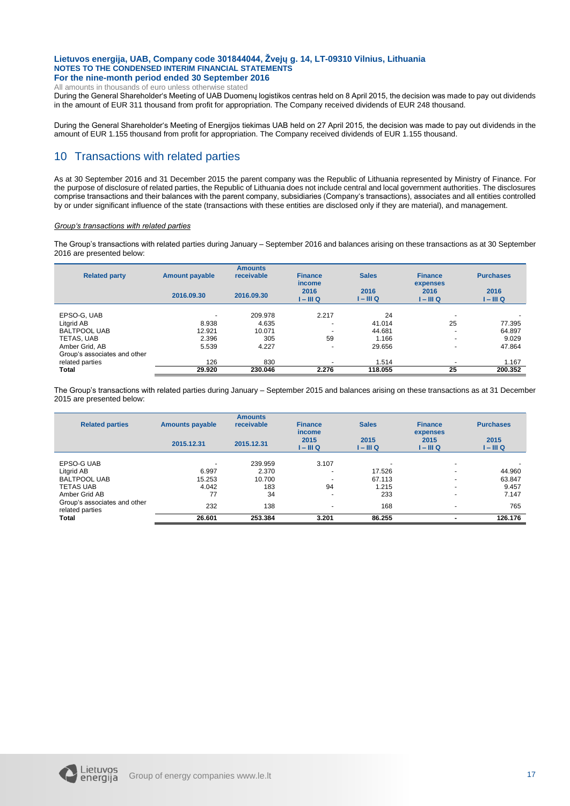All amounts in thousands of euro unless otherwise stated

During the General Shareholder's Meeting of UAB Duomenų logistikos centras held on 8 April 2015, the decision was made to pay out dividends in the amount of EUR 311 thousand from profit for appropriation. The Company received dividends of EUR 248 thousand.

During the General Shareholder's Meeting of Energijos tiekimas UAB held on 27 April 2015, the decision was made to pay out dividends in the amount of EUR 1.155 thousand from profit for appropriation. The Company received dividends of EUR 1.155 thousand.

## 10 Transactions with related parties

As at 30 September 2016 and 31 December 2015 the parent company was the Republic of Lithuania represented by Ministry of Finance. For the purpose of disclosure of related parties, the Republic of Lithuania does not include central and local government authorities. The disclosures comprise transactions and their balances with the parent company, subsidiaries (Company's transactions), associates and all entities controlled by or under significant influence of the state (transactions with these entities are disclosed only if they are material), and management.

#### *Group's transactions with related parties*

The Group's transactions with related parties during January – September 2016 and balances arising on these transactions as at 30 September 2016 are presented below:

| <b>Related party</b>         | <b>Amount payable</b> | <b>Amounts</b><br>receivable | <b>Finance</b><br><i>income</i> | <b>Sales</b>      | <b>Finance</b><br>expenses | <b>Purchases</b>  |
|------------------------------|-----------------------|------------------------------|---------------------------------|-------------------|----------------------------|-------------------|
|                              | 2016.09.30            | 2016.09.30                   | 2016<br>1 – III Q               | 2016<br>I – III Q | 2016<br>I – III Q          | 2016<br>I – III Q |
| EPSO-G, UAB                  |                       | 209.978                      | 2.217                           | 24                | $\overline{\phantom{0}}$   |                   |
| Litgrid AB                   | 8.938                 | 4.635                        | $\overline{\phantom{0}}$        | 41.014            | 25                         | 77.395            |
| <b>BALTPOOL UAB</b>          | 12.921                | 10.071                       |                                 | 44.681            |                            | 64.897            |
| TETAS, UAB                   | 2.396                 | 305                          | 59                              | 1.166             | $\overline{\phantom{0}}$   | 9.029             |
| Amber Grid, AB               | 5.539                 | 4.227                        |                                 | 29.656            |                            | 47.864            |
| Group's associates and other |                       |                              |                                 |                   |                            |                   |
| related parties              | 126                   | 830                          |                                 | 1.514             |                            | 1.167             |
| Total                        | 29.920                | 230.046                      | 2.276                           | 118.055           | 25                         | 200.352           |

The Group's transactions with related parties during January – September 2015 and balances arising on these transactions as at 31 December 2015 are presented below:

| <b>Related parties</b>                          | <b>Amounts payable</b> | <b>Amounts</b><br>receivable | <b>Finance</b><br><i>income</i> | <b>Sales</b>      | <b>Finance</b><br>expenses | <b>Purchases</b>  |
|-------------------------------------------------|------------------------|------------------------------|---------------------------------|-------------------|----------------------------|-------------------|
|                                                 | 2015.12.31             | 2015.12.31                   | 2015<br>$I - III Q$             | 2015<br>I – III Q | 2015<br>I – III Q          | 2015<br>I – III Q |
| EPSO-G UAB                                      |                        | 239.959                      | 3.107                           |                   | ۰                          |                   |
| Litgrid AB                                      | 6.997                  | 2.370                        | $\overline{a}$                  | 17.526            | $\sim$                     | 44.960            |
| <b>BALTPOOL UAB</b>                             | 15.253                 | 10.700                       |                                 | 67.113            | $\overline{\phantom{0}}$   | 63.847            |
| <b>TETAS UAB</b>                                | 4.042                  | 183                          | 94                              | 1.215             | $\overline{\phantom{0}}$   | 9.457             |
| Amber Grid AB                                   | 77                     | 34                           | $\overline{a}$                  | 233               | $\overline{\phantom{0}}$   | 7.147             |
| Group's associates and other<br>related parties | 232                    | 138                          |                                 | 168               | $\overline{\phantom{a}}$   | 765               |
| <b>Total</b>                                    | 26.601                 | 253.384                      | 3.201                           | 86.255            |                            | 126.176           |

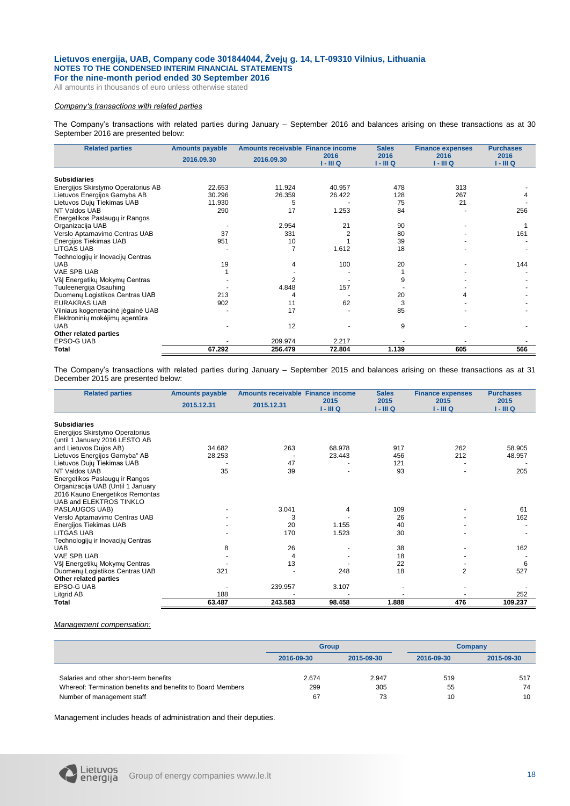All amounts in thousands of euro unless otherwise stated

#### *Company's transactions with related parties*

The Company's transactions with related parties during January – September 2016 and balances arising on these transactions as at 30 September 2016 are presented below:

| <b>Related parties</b>             | <b>Amounts payable</b> | Amounts receivable Finance income |           | <b>Sales</b> | <b>Finance expenses</b> | <b>Purchases</b> |
|------------------------------------|------------------------|-----------------------------------|-----------|--------------|-------------------------|------------------|
|                                    | 2016.09.30             | 2016.09.30                        | 2016      | 2016         | 2016                    | 2016             |
|                                    |                        |                                   | 1 - III Q | 1 - III Q    | 1 - III Q               | 1 - III Q        |
| <b>Subsidiaries</b>                |                        |                                   |           |              |                         |                  |
| Energijos Skirstymo Operatorius AB | 22.653                 | 11.924                            | 40.957    | 478          | 313                     |                  |
| Lietuvos Energijos Gamyba AB       | 30.296                 | 26.359                            | 26.422    | 128          | 267                     |                  |
| Lietuvos Dujų Tiekimas UAB         | 11.930                 | 5                                 |           | 75           | 21                      |                  |
| NT Valdos UAB                      | 290                    | 17                                | 1.253     | 84           |                         | 256              |
| Energetikos Paslaugų ir Rangos     |                        |                                   |           |              |                         |                  |
| Organizacija UAB                   |                        | 2.954                             | 21        | 90           |                         |                  |
| Verslo Aptarnavimo Centras UAB     | 37                     | 331                               |           | 80           |                         | 161              |
| Energijos Tiekimas UAB             | 951                    | 10                                |           | 39           |                         |                  |
| <b>LITGAS UAB</b>                  |                        |                                   | 1.612     | 18           |                         |                  |
| Technologijų ir Inovacijų Centras  |                        |                                   |           |              |                         |                  |
| <b>UAB</b>                         | 19                     | 4                                 | 100       | 20           |                         | 144              |
| VAE SPB UAB                        |                        |                                   |           |              |                         |                  |
| VšJ Energetikų Mokymų Centras      |                        |                                   |           | 9            |                         |                  |
| Tuuleenergija Osauhing             |                        | 4.848                             | 157       |              |                         |                  |
| Duomenų Logistikos Centras UAB     | 213                    |                                   |           | 20           |                         |                  |
| <b>EURAKRAS UAB</b>                | 902                    | 11                                | 62        | 3            |                         |                  |
| Vilniaus kogeneracinė jėgainė UAB  |                        | 17                                |           | 85           |                         |                  |
| Elektroninių mokėjimų agentūra     |                        |                                   |           |              |                         |                  |
| <b>UAB</b>                         |                        | 12                                |           | 9            |                         |                  |
| Other related parties              |                        |                                   |           |              |                         |                  |
| EPSO-G UAB                         |                        | 209.974                           | 2.217     |              |                         |                  |
| Total                              | 67.292                 | 256.479                           | 72.804    | 1.139        | 605                     | 566              |

The Company's transactions with related parties during January – September 2015 and balances arising on these transactions as at 31 December 2015 are presented below:

| <b>Related parties</b>            | <b>Amounts payable</b> | Amounts receivable Finance income |           | <b>Sales</b> | <b>Finance expenses</b> | <b>Purchases</b> |
|-----------------------------------|------------------------|-----------------------------------|-----------|--------------|-------------------------|------------------|
|                                   | 2015.12.31             | 2015.12.31                        | 2015      | 2015         | 2015                    | 2015             |
|                                   |                        |                                   | 1 - III Q | $I - III Q$  | $I - III Q$             | $I - III Q$      |
| <b>Subsidiaries</b>               |                        |                                   |           |              |                         |                  |
| Energijos Skirstymo Operatorius   |                        |                                   |           |              |                         |                  |
| (until 1 January 2016 LESTO AB    |                        |                                   |           |              |                         |                  |
| and Lietuvos Dujos AB)            | 34.682                 | 263                               | 68.978    | 917          | 262                     | 58.905           |
| Lietuvos Energijos Gamyba" AB     | 28.253                 |                                   | 23.443    | 456          | 212                     | 48.957           |
| Lietuvos Dujų Tiekimas UAB        |                        | 47                                |           | 121          |                         |                  |
| NT Valdos UAB                     | 35                     | 39                                |           | 93           |                         | 205              |
| Energetikos Paslaugų ir Rangos    |                        |                                   |           |              |                         |                  |
| Organizacija UAB (Until 1 January |                        |                                   |           |              |                         |                  |
| 2016 Kauno Energetikos Remontas   |                        |                                   |           |              |                         |                  |
| UAB and ELEKTROS TINKLO           |                        |                                   |           |              |                         |                  |
| PASLAUGOS UAB)                    |                        | 3.041                             | 4         | 109          |                         | 61               |
| Verslo Aptarnavimo Centras UAB    |                        | 3                                 |           | 26           |                         | 162              |
| Energijos Tiekimas UAB            |                        | 20                                | 1.155     | 40           |                         |                  |
| <b>LITGAS UAB</b>                 |                        | 170                               | 1.523     | 30           |                         |                  |
| Technologijų ir Inovacijų Centras |                        |                                   |           |              |                         |                  |
| <b>UAB</b>                        | 8                      | 26                                |           | 38           |                         | 162              |
| VAE SPB UAB                       |                        | 4                                 |           | 18           |                         |                  |
| VšJ Energetikų Mokymų Centras     |                        | 13                                |           | 22           |                         | 6                |
| Duomenų Logistikos Centras UAB    | 321                    |                                   | 248       | 18           | $\overline{2}$          | 527              |
| Other related parties             |                        |                                   |           |              |                         |                  |
| <b>EPSO-GUAB</b>                  |                        | 239.957                           | 3.107     |              |                         |                  |
| Litgrid AB                        | 188                    |                                   |           |              |                         | 252              |
| <b>Total</b>                      | 63.487                 | 243.583                           | 98.458    | 1.888        | 476                     | 109.237          |

#### *Management compensation:*

|                                                             |            | <b>Group</b> |     | Company    |  |
|-------------------------------------------------------------|------------|--------------|-----|------------|--|
|                                                             | 2016-09-30 | 2015-09-30   |     | 2015-09-30 |  |
|                                                             |            |              |     |            |  |
| Salaries and other short-term benefits                      | 2.674      | 2.947        | 519 | 517        |  |
| Whereof: Termination benefits and benefits to Board Members | 299        | 305          | 55  | 74         |  |
| Number of management staff                                  | 67         | 73           | 10  | 10         |  |

Management includes heads of administration and their deputies.